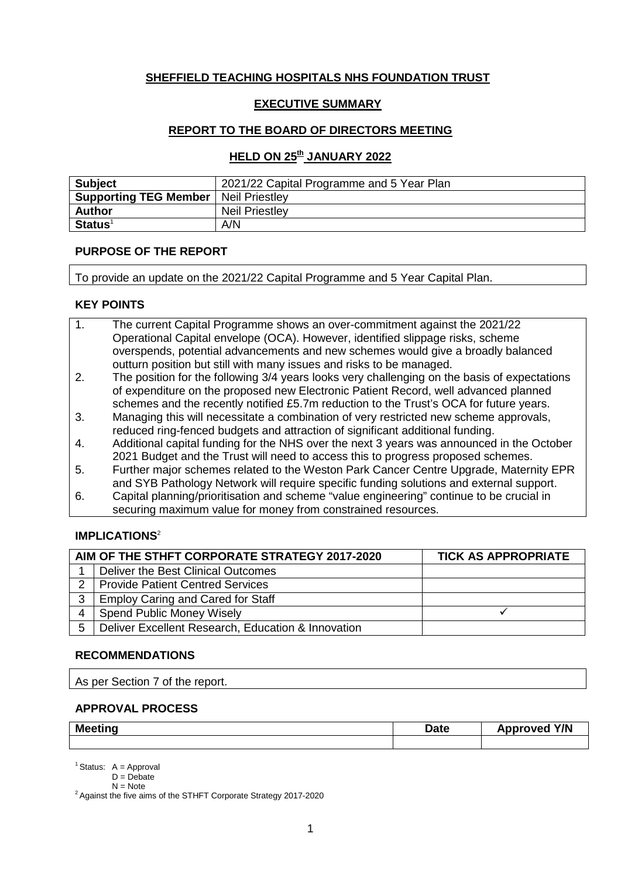# **SHEFFIELD TEACHING HOSPITALS NHS FOUNDATION TRUST**

# **EXECUTIVE SUMMARY**

# **REPORT TO THE BOARD OF DIRECTORS MEETING**

# **HELD ON 25th JANUARY 2022**

| <b>Subject</b>                                | 2021/22 Capital Programme and 5 Year Plan |
|-----------------------------------------------|-------------------------------------------|
| <b>Supporting TEG Member   Neil Priestley</b> |                                           |
| <b>Author</b>                                 | <b>Neil Priestley</b>                     |
| $Status1$                                     | A/N                                       |

## **PURPOSE OF THE REPORT**

To provide an update on the 2021/22 Capital Programme and 5 Year Capital Plan.

## **KEY POINTS**

| $\mathbf{1}$ . | The current Capital Programme shows an over-commitment against the 2021/22       |
|----------------|----------------------------------------------------------------------------------|
|                | Operational Capital envelope (OCA). However, identified slippage risks, scheme   |
|                | overspends, potential advancements and new schemes would give a broadly balanced |
|                | outturn position but still with many issues and risks to be managed.             |

- 2. The position for the following 3/4 years looks very challenging on the basis of expectations of expenditure on the proposed new Electronic Patient Record, well advanced planned schemes and the recently notified £5.7m reduction to the Trust's OCA for future years.
- 3. Managing this will necessitate a combination of very restricted new scheme approvals, reduced ring-fenced budgets and attraction of significant additional funding.
- 4. Additional capital funding for the NHS over the next 3 years was announced in the October 2021 Budget and the Trust will need to access this to progress proposed schemes.
- 5. Further major schemes related to the Weston Park Cancer Centre Upgrade, Maternity EPR and SYB Pathology Network will require specific funding solutions and external support.
- 6. Capital planning/prioritisation and scheme "value engineering" continue to be crucial in securing maximum value for money from constrained resources.

# **IMPLICATIONS**<sup>2</sup>

|               | AIM OF THE STHFT CORPORATE STRATEGY 2017-2020      | <b>TICK AS APPROPRIATE</b> |
|---------------|----------------------------------------------------|----------------------------|
|               | Deliver the Best Clinical Outcomes                 |                            |
| $\mathcal{D}$ | <b>Provide Patient Centred Services</b>            |                            |
| 3             | <b>Employ Caring and Cared for Staff</b>           |                            |
|               | <b>Spend Public Money Wisely</b>                   |                            |
| 5             | Deliver Excellent Research, Education & Innovation |                            |

## **RECOMMENDATIONS**

As per Section 7 of the report.

## **APPROVAL PROCESS**

| <b>Meeting</b> | Date | Y/N<br>Approved<br>∼ |
|----------------|------|----------------------|
|                |      |                      |

 $N =$  Note<br><sup>2</sup> Against the five aims of the STHFT Corporate Strategy 2017-2020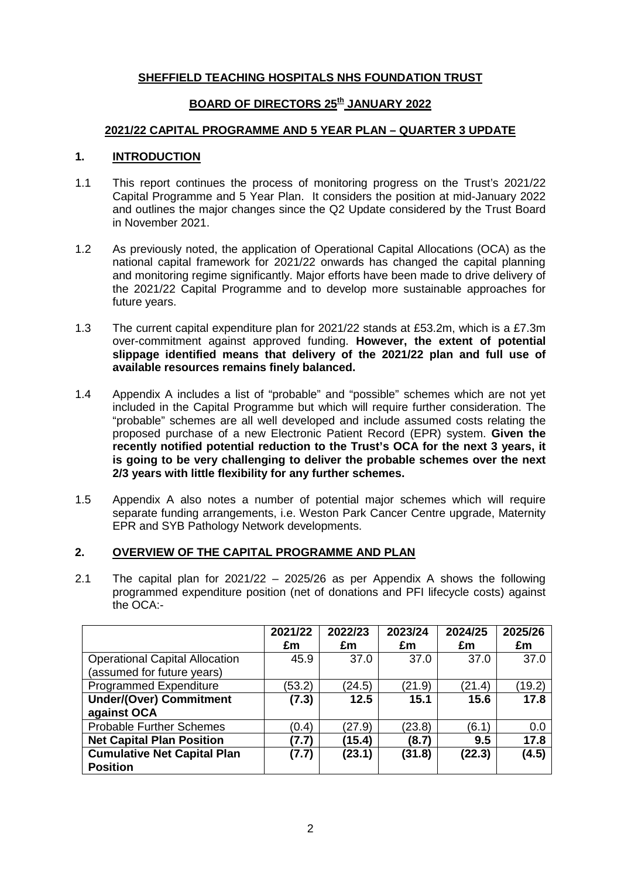# **SHEFFIELD TEACHING HOSPITALS NHS FOUNDATION TRUST**

# **BOARD OF DIRECTORS 25th JANUARY 2022**

# **2021/22 CAPITAL PROGRAMME AND 5 YEAR PLAN – QUARTER 3 UPDATE**

# **1. INTRODUCTION**

- 1.1 This report continues the process of monitoring progress on the Trust's 2021/22 Capital Programme and 5 Year Plan. It considers the position at mid-January 2022 and outlines the major changes since the Q2 Update considered by the Trust Board in November 2021.
- 1.2 As previously noted, the application of Operational Capital Allocations (OCA) as the national capital framework for 2021/22 onwards has changed the capital planning and monitoring regime significantly. Major efforts have been made to drive delivery of the 2021/22 Capital Programme and to develop more sustainable approaches for future years.
- 1.3 The current capital expenditure plan for 2021/22 stands at £53.2m, which is a £7.3m over-commitment against approved funding. **However, the extent of potential slippage identified means that delivery of the 2021/22 plan and full use of available resources remains finely balanced.**
- 1.4 Appendix A includes a list of "probable" and "possible" schemes which are not yet included in the Capital Programme but which will require further consideration. The "probable" schemes are all well developed and include assumed costs relating the proposed purchase of a new Electronic Patient Record (EPR) system. **Given the recently notified potential reduction to the Trust's OCA for the next 3 years, it is going to be very challenging to deliver the probable schemes over the next 2/3 years with little flexibility for any further schemes.**
- 1.5 Appendix A also notes a number of potential major schemes which will require separate funding arrangements, i.e. Weston Park Cancer Centre upgrade, Maternity EPR and SYB Pathology Network developments.

# **2. OVERVIEW OF THE CAPITAL PROGRAMME AND PLAN**

2.1 The capital plan for 2021/22 – 2025/26 as per Appendix A shows the following programmed expenditure position (net of donations and PFI lifecycle costs) against the OCA:-

|                                       | 2021/22 | 2022/23 | 2023/24 | 2024/25 | 2025/26 |
|---------------------------------------|---------|---------|---------|---------|---------|
|                                       | £m      | £m      | £m      | £m      | £m      |
| <b>Operational Capital Allocation</b> | 45.9    | 37.0    | 37.0    | 37.0    | 37.0    |
| (assumed for future years)            |         |         |         |         |         |
| <b>Programmed Expenditure</b>         | (53.2)  | (24.5)  | (21.9)  | (21.4)  | (19.2)  |
| <b>Under/(Over) Commitment</b>        | (7.3)   | 12.5    | 15.1    | 15.6    | 17.8    |
| against OCA                           |         |         |         |         |         |
| <b>Probable Further Schemes</b>       | (0.4)   | (27.9)  | (23.8)  | (6.1)   | 0.0     |
| <b>Net Capital Plan Position</b>      | (7.7)   | (15.4)  | (8.7)   | 9.5     | 17.8    |
| <b>Cumulative Net Capital Plan</b>    | (7.7)   | (23.1)  | (31.8)  | (22.3)  | (4.5)   |
| <b>Position</b>                       |         |         |         |         |         |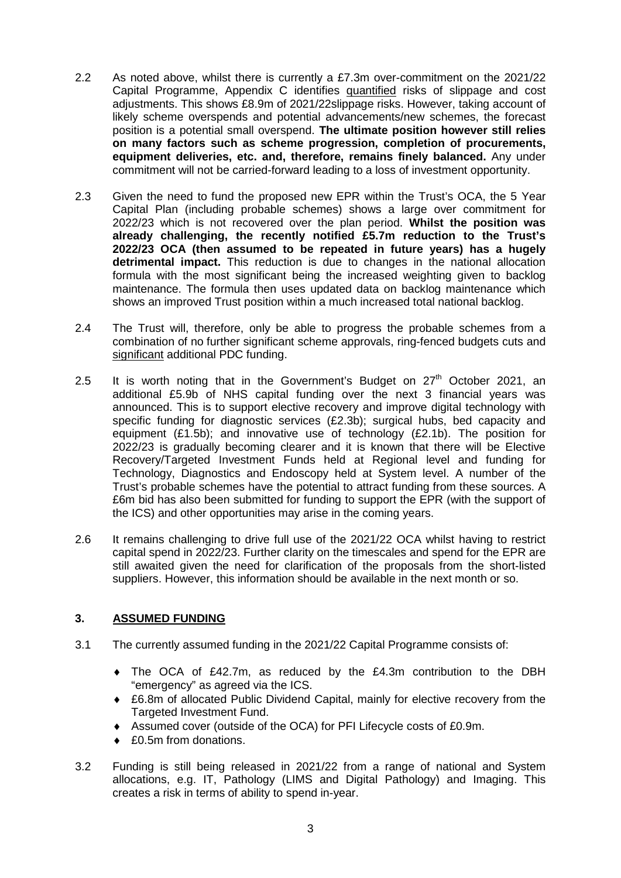- 2.2 As noted above, whilst there is currently a £7.3m over-commitment on the 2021/22 Capital Programme, Appendix C identifies quantified risks of slippage and cost adjustments. This shows £8.9m of 2021/22slippage risks. However, taking account of likely scheme overspends and potential advancements/new schemes, the forecast position is a potential small overspend. **The ultimate position however still relies on many factors such as scheme progression, completion of procurements, equipment deliveries, etc. and, therefore, remains finely balanced.** Any under commitment will not be carried-forward leading to a loss of investment opportunity.
- 2.3 Given the need to fund the proposed new EPR within the Trust's OCA, the 5 Year Capital Plan (including probable schemes) shows a large over commitment for 2022/23 which is not recovered over the plan period. **Whilst the position was already challenging, the recently notified £5.7m reduction to the Trust's 2022/23 OCA (then assumed to be repeated in future years) has a hugely detrimental impact.** This reduction is due to changes in the national allocation formula with the most significant being the increased weighting given to backlog maintenance. The formula then uses updated data on backlog maintenance which shows an improved Trust position within a much increased total national backlog.
- 2.4 The Trust will, therefore, only be able to progress the probable schemes from a combination of no further significant scheme approvals, ring-fenced budgets cuts and significant additional PDC funding.
- 2.5 It is worth noting that in the Government's Budget on  $27<sup>th</sup>$  October 2021, an additional £5.9b of NHS capital funding over the next 3 financial years was announced. This is to support elective recovery and improve digital technology with specific funding for diagnostic services (£2.3b); surgical hubs, bed capacity and equipment (£1.5b); and innovative use of technology (£2.1b). The position for 2022/23 is gradually becoming clearer and it is known that there will be Elective Recovery/Targeted Investment Funds held at Regional level and funding for Technology, Diagnostics and Endoscopy held at System level. A number of the Trust's probable schemes have the potential to attract funding from these sources. A £6m bid has also been submitted for funding to support the EPR (with the support of the ICS) and other opportunities may arise in the coming years.
- 2.6 It remains challenging to drive full use of the 2021/22 OCA whilst having to restrict capital spend in 2022/23. Further clarity on the timescales and spend for the EPR are still awaited given the need for clarification of the proposals from the short-listed suppliers. However, this information should be available in the next month or so.

# **3. ASSUMED FUNDING**

- 3.1 The currently assumed funding in the 2021/22 Capital Programme consists of:
	- ♦ The OCA of £42.7m, as reduced by the £4.3m contribution to the DBH "emergency" as agreed via the ICS.
	- ♦ £6.8m of allocated Public Dividend Capital, mainly for elective recovery from the Targeted Investment Fund.
	- ♦ Assumed cover (outside of the OCA) for PFI Lifecycle costs of £0.9m.
	- ◆ £0.5m from donations.
- 3.2 Funding is still being released in 2021/22 from a range of national and System allocations, e.g. IT, Pathology (LIMS and Digital Pathology) and Imaging. This creates a risk in terms of ability to spend in-year.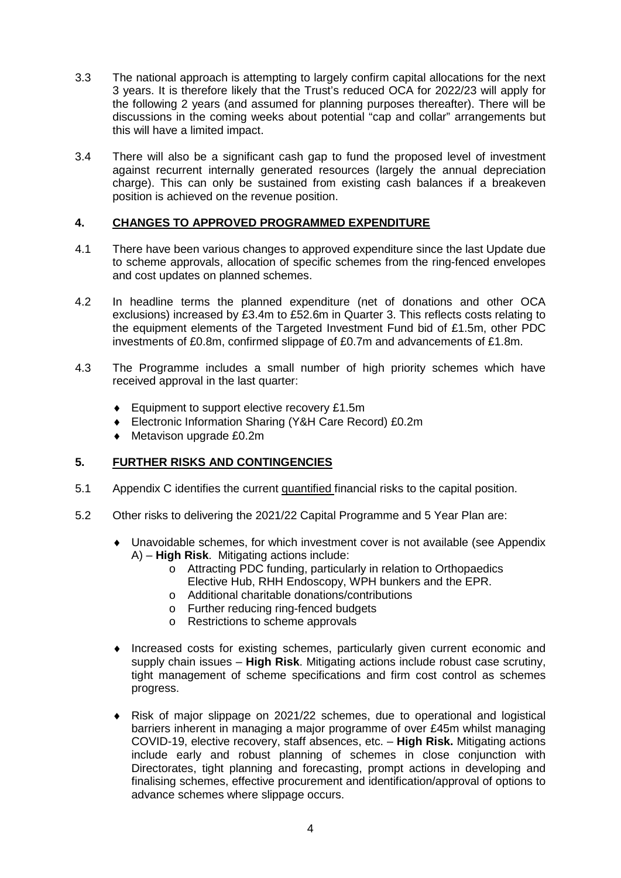- 3.3 The national approach is attempting to largely confirm capital allocations for the next 3 years. It is therefore likely that the Trust's reduced OCA for 2022/23 will apply for the following 2 years (and assumed for planning purposes thereafter). There will be discussions in the coming weeks about potential "cap and collar" arrangements but this will have a limited impact.
- 3.4 There will also be a significant cash gap to fund the proposed level of investment against recurrent internally generated resources (largely the annual depreciation charge). This can only be sustained from existing cash balances if a breakeven position is achieved on the revenue position.

# **4. CHANGES TO APPROVED PROGRAMMED EXPENDITURE**

- 4.1 There have been various changes to approved expenditure since the last Update due to scheme approvals, allocation of specific schemes from the ring-fenced envelopes and cost updates on planned schemes.
- 4.2 In headline terms the planned expenditure (net of donations and other OCA exclusions) increased by £3.4m to £52.6m in Quarter 3. This reflects costs relating to the equipment elements of the Targeted Investment Fund bid of £1.5m, other PDC investments of £0.8m, confirmed slippage of £0.7m and advancements of £1.8m.
- 4.3 The Programme includes a small number of high priority schemes which have received approval in the last quarter:
	- ♦ Equipment to support elective recovery £1.5m
	- ♦ Electronic Information Sharing (Y&H Care Record) £0.2m
	- ♦ Metavison upgrade £0.2m

# **5. FURTHER RISKS AND CONTINGENCIES**

- 5.1 Appendix C identifies the current quantified financial risks to the capital position.
- 5.2 Other risks to delivering the 2021/22 Capital Programme and 5 Year Plan are:
	- ♦ Unavoidable schemes, for which investment cover is not available (see Appendix A) – **High Risk**. Mitigating actions include:
		- o Attracting PDC funding, particularly in relation to Orthopaedics Elective Hub, RHH Endoscopy, WPH bunkers and the EPR.
		- o Additional charitable donations/contributions
		- o Further reducing ring-fenced budgets
		- o Restrictions to scheme approvals
	- ♦ Increased costs for existing schemes, particularly given current economic and supply chain issues – **High Risk**. Mitigating actions include robust case scrutiny, tight management of scheme specifications and firm cost control as schemes progress.
	- ♦ Risk of major slippage on 2021/22 schemes, due to operational and logistical barriers inherent in managing a major programme of over £45m whilst managing COVID-19, elective recovery, staff absences, etc. – **High Risk.** Mitigating actions include early and robust planning of schemes in close conjunction with Directorates, tight planning and forecasting, prompt actions in developing and finalising schemes, effective procurement and identification/approval of options to advance schemes where slippage occurs.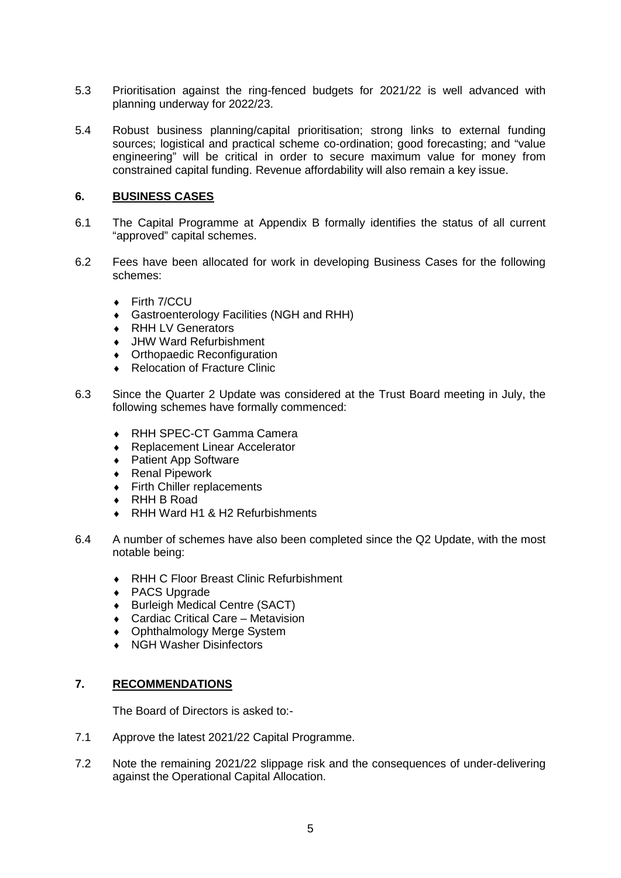- 5.3 Prioritisation against the ring-fenced budgets for 2021/22 is well advanced with planning underway for 2022/23.
- 5.4 Robust business planning/capital prioritisation; strong links to external funding sources; logistical and practical scheme co-ordination; good forecasting; and "value engineering" will be critical in order to secure maximum value for money from constrained capital funding. Revenue affordability will also remain a key issue.

## **6. BUSINESS CASES**

- 6.1 The Capital Programme at Appendix B formally identifies the status of all current "approved" capital schemes.
- 6.2 Fees have been allocated for work in developing Business Cases for the following schemes:
	- ♦ Firth 7/CCU
	- ♦ Gastroenterology Facilities (NGH and RHH)
	- ♦ RHH LV Generators
	- ♦ JHW Ward Refurbishment
	- ♦ Orthopaedic Reconfiguration
	- ♦ Relocation of Fracture Clinic
- 6.3 Since the Quarter 2 Update was considered at the Trust Board meeting in July, the following schemes have formally commenced:
	- ♦ RHH SPEC-CT Gamma Camera
	- ♦ Replacement Linear Accelerator
	- ◆ Patient App Software<br>◆ Renal Pipework
	- **Renal Pipework**
	- $\bullet$  Firth Chiller replacements
	- ♦ RHH B Road
	- RHH Ward H1 & H2 Refurbishments
- 6.4 A number of schemes have also been completed since the Q2 Update, with the most notable being:
	- ♦ RHH C Floor Breast Clinic Refurbishment
	- ♦ PACS Upgrade
	- ♦ Burleigh Medical Centre (SACT)
	- ♦ Cardiac Critical Care Metavision
	- ♦ Ophthalmology Merge System
	- ♦ NGH Washer Disinfectors

# **7. RECOMMENDATIONS**

The Board of Directors is asked to:-

- 7.1 Approve the latest 2021/22 Capital Programme.
- 7.2 Note the remaining 2021/22 slippage risk and the consequences of under-delivering against the Operational Capital Allocation.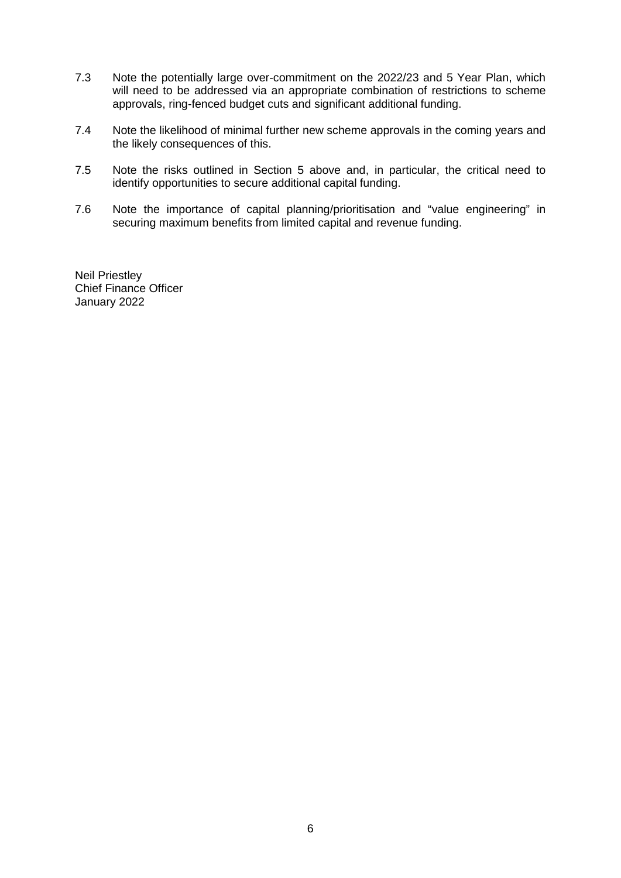- 7.3 Note the potentially large over-commitment on the 2022/23 and 5 Year Plan, which will need to be addressed via an appropriate combination of restrictions to scheme approvals, ring-fenced budget cuts and significant additional funding.
- 7.4 Note the likelihood of minimal further new scheme approvals in the coming years and the likely consequences of this.
- 7.5 Note the risks outlined in Section 5 above and, in particular, the critical need to identify opportunities to secure additional capital funding.
- 7.6 Note the importance of capital planning/prioritisation and "value engineering" in securing maximum benefits from limited capital and revenue funding.

Neil Priestley Chief Finance Officer January 2022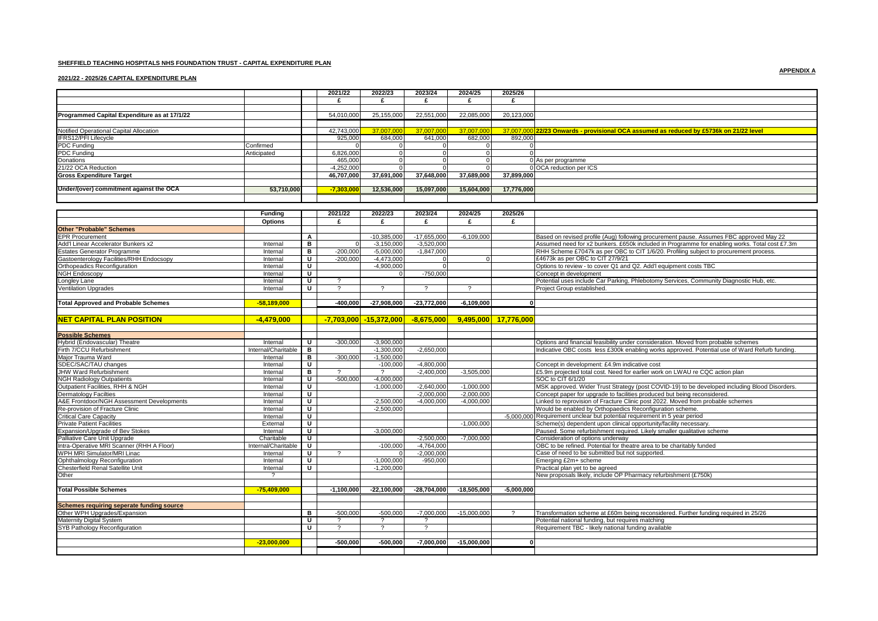## **SHEFFIELD TEACHING HOSPITALS NHS FOUNDATION TRUST - CAPITAL EXPENDITURE PLAN**

## **2021/22 - 2025/26 CAPITAL EXPENDITURE PLAN**

|                                              |                     |                         | 2021/22       | 2022/23                             | 2023/24       | 2024/25       | 2025/26              |                                                                                                |
|----------------------------------------------|---------------------|-------------------------|---------------|-------------------------------------|---------------|---------------|----------------------|------------------------------------------------------------------------------------------------|
|                                              |                     |                         | £             | £                                   | £             | £             | £                    |                                                                                                |
|                                              |                     |                         |               |                                     |               |               |                      |                                                                                                |
| Programmed Capital Expenditure as at 17/1/22 |                     |                         | 54.010.000    | 25,155,000                          | 22,551,000    | 22.085.000    | 20,123,000           |                                                                                                |
|                                              |                     |                         |               |                                     |               |               |                      |                                                                                                |
| Notified Operational Capital Allocation      |                     |                         | 42,743,000    | 37,007,000                          | 37,007,000    | 37.007.00     |                      | 37,007,000 22/23 Onwards - provisional OCA assumed as reduced by £5736k on 21/22 level         |
| IFRS12/PFI Lifecycle                         |                     |                         | 925,000       | 684,000                             | 641,000       | 682,000       | 892,000              |                                                                                                |
| PDC Funding                                  | Confirmed           |                         | $\Omega$      | $\Omega$                            | $\Omega$      | $\Omega$      | $\Omega$             |                                                                                                |
| PDC Funding                                  | Anticipated         |                         | 6,826,000     | $\mathbf 0$                         | $\mathbf 0$   | $\mathbf{O}$  | $\Omega$             |                                                                                                |
| Donations                                    |                     |                         | 465.000       |                                     | $\Omega$      | $\Omega$      |                      | 0 As per programme                                                                             |
| 21/22 OCA Reduction                          |                     |                         | $-4.252.000$  |                                     | $\Omega$      |               |                      | 0 OCA reduction per ICS                                                                        |
| <b>Gross Expenditure Target</b>              |                     |                         | 46,707,000    | 37,691,000                          | 37,648,000    | 37,689,000    | 37,899,000           |                                                                                                |
|                                              |                     |                         |               |                                     |               |               |                      |                                                                                                |
| Under/(over) commitment against the OCA      | 53,710,000          |                         | $-7,303,000$  | 12,536,000                          | 15,097,000    | 15,604,000    | 17,776,000           |                                                                                                |
|                                              |                     |                         |               |                                     |               |               |                      |                                                                                                |
|                                              |                     |                         |               |                                     |               |               |                      |                                                                                                |
|                                              | <b>Funding</b>      |                         | 2021/22       | 2022/23                             | 2023/24       | 2024/25       | 2025/26              |                                                                                                |
|                                              | <b>Options</b>      |                         | £             | £                                   | £             | £             | £                    |                                                                                                |
| <b>Other "Probable" Schemes</b>              |                     |                         |               |                                     |               |               |                      |                                                                                                |
| <b>EPR Procurement</b>                       |                     | A                       |               | $-10.385.000$                       | $-17.655.000$ | $-6.109.000$  |                      | Based on revised profile (Aug) following procurement pause. Assumes FBC approved May 22        |
| Add'l Linear Accelerator Bunkers x2          | Internal            | $\overline{B}$          |               | $-3.150.000$                        | $-3,520,000$  |               |                      | Assumed need for x2 bunkers. £650k included in Programme for enabling works. Total cost £7.3m  |
| <b>Estates Generator Programme</b>           | Internal            | в                       | $-200,000$    | $-5,000,000$                        | $-1,847,000$  |               |                      | RHH Scheme £7047k as per OBC to CIT 1/6/20. Profiling subject to procurement process.          |
| Gastoenterology Facilities/RHH Endocsopy     | Internal            | U                       | $-200.000$    | $-4,473,000$                        | $\Omega$      | $\Omega$      |                      | £4673k as per OBC to CIT 27/9/21                                                               |
| Orthopeadics Reconfiguration                 | Internal            | $\overline{\mathsf{u}}$ |               | $-4,900,000$                        | $\Omega$      |               |                      | Options to review - to cover Q1 and Q2. Add'l equipment costs TBC                              |
| <b>NGH Endoscopy</b>                         | Internal            | U                       |               |                                     | $-750,000$    |               |                      | Concept in development                                                                         |
| Longley Lane                                 | Internal            | U                       | $\mathcal{P}$ |                                     |               |               |                      | Potential uses include Car Parking, Phlebotomy Services, Community Diagnostic Hub, etc.        |
| <b>Ventilation Upgrades</b>                  | Internal            | $\overline{u}$          |               |                                     |               |               |                      | Project Group established.                                                                     |
|                                              |                     |                         |               |                                     |               |               |                      |                                                                                                |
| <b>Total Approved and Probable Schemes</b>   | $-58,189,000$       |                         | $-400,000$    | $-27,908,000$                       | $-23,772,000$ | $-6,109,000$  | $\mathbf{0}$         |                                                                                                |
|                                              |                     |                         |               |                                     |               |               |                      |                                                                                                |
|                                              |                     |                         |               |                                     |               |               |                      |                                                                                                |
| <b>NET CAPITAL PLAN POSITION</b>             | $-4.479.000$        |                         |               | <mark>-7,703,000 -15,372,000</mark> | $-8,675,000$  |               | 9,495,000 17,776,000 |                                                                                                |
|                                              |                     |                         |               |                                     |               |               |                      |                                                                                                |
| <b>Possible Schemes</b>                      |                     |                         |               |                                     |               |               |                      |                                                                                                |
| Hybrid (Endovascular) Theatre                | Internal            | U                       | $-300.000$    | $-3,900,000$                        |               |               |                      | Options and financial feasibility under consideration. Moved from probable schemes             |
| Firth 7/CCU Refurbishment                    | Internal/Charitable | в                       |               | $-1,300,000$                        | $-2,650,000$  |               |                      | Indicative OBC costs less £300k enabling works approved. Potential use of Ward Refurb funding. |
| Maior Trauma Ward                            | Internal            | в                       | $-300.000$    | $-1.500.000$                        |               |               |                      |                                                                                                |
| SDEC/SAC/TAU changes                         | Internal            | $\overline{\mathtt{U}}$ |               | $-100,000$                          | $-4.800.000$  |               |                      | Concept in development: £4.9m indicative cost                                                  |
| <b>JHW Ward Refurbishment</b>                | Internal            | в                       |               | $\overline{\phantom{0}}$            | $-2,400,000$  | $-3,505,000$  |                      | £5.9m projected total cost. Need for earlier work on LWAU re CQC action plan                   |
| <b>NGH Radiology Outpatients</b>             | Internal            | $\overline{\mathsf{u}}$ | $-500.000$    | $-4,000,000$                        |               |               |                      | SOC to CIT 6/1/20                                                                              |
| Outpatient Facilities, RHH & NGH             | Internal            | U                       |               | $-1,000,000$                        | $-2,640,000$  | $-1,000,000$  |                      | MSK approved. Wider Trust Strategy (post COVID-19) to be developed including Blood Disorders.  |
| <b>Dermatology Facilties</b>                 | Internal            | U                       |               |                                     | $-2,000,000$  | $-2,000,000$  |                      | Concept paper for upgrade to facilities produced but being reconsidered.                       |
| A&E Frontdoor/NGH Assessment Developments    | Internal            | U                       |               | $-2,500,000$                        | $-4.000.000$  | $-4.000.000$  |                      | Linked to reprovision of Fracture Clinic post 2022. Moved from probable schemes                |
| Re-provision of Fracture Clinic              | Internal            | $\overline{\mathsf{u}}$ |               | $-2,500,000$                        |               |               |                      | Would be enabled by Orthopaedics Reconfiguration scheme.                                       |
| <b>Critical Care Capacity</b>                | Internal            | U                       |               |                                     |               |               |                      | -5,000,000 Requirement unclear but potential requirement in 5 year period                      |
| <b>Private Patient Facilities</b>            | External            | $\mathbf{U}$            |               |                                     |               | $-1.000.000$  |                      | Scheme(s) dependent upon clinical opportunity/facility necessary.                              |
| Expansion/Upgrade of Bev Stokes              | Internal            | ᠊ᡨ                      |               | $-3.000.000$                        |               |               |                      | Paused. Some refurbishment required. Likely smaller qualitative scheme                         |
| Palliative Care Unit Upgrade                 | Charitable          | $\overline{\mathsf{u}}$ |               |                                     | $-2,500,000$  | $-7,000,000$  |                      | Consideration of options underway                                                              |
| Intra-Operative MRI Scanner (RHH A Floor)    | Internal/Charitable | U                       |               | $-100,000$                          | $-4,764,000$  |               |                      | OBC to be refined. Potential for theatre area to be charitably funded                          |
| WPH MRI Simulator/MRI Linac                  | Internal            | U                       |               |                                     | $-2,000,000$  |               |                      | Case of need to be submitted but not supported.                                                |
| Ophthalmology Reconfiguration                | Internal            | U                       |               | $-1.000.000$                        | $-950.000$    |               |                      | Emerging £2m+ scheme                                                                           |
| Chesterfield Renal Satellite Unit            | Internal            | $\overline{\mathsf{u}}$ |               | $-1,200,000$                        |               |               |                      | Practical plan yet to be agreed                                                                |
| Other                                        |                     |                         |               |                                     |               |               |                      | New proposals likely, include OP Pharmacy refurbishment (£750k)                                |
|                                              |                     |                         |               |                                     |               |               |                      |                                                                                                |
| <b>Total Possible Schemes</b>                | $-75,409,000$       |                         | $-1.100.000$  | $-22,100,000$                       | $-28,704,000$ | $-18,505,000$ | $-5.000.000$         |                                                                                                |
|                                              |                     |                         |               |                                     |               |               |                      |                                                                                                |
| Schemes requiring seperate funding source    |                     |                         |               |                                     |               |               |                      |                                                                                                |
| Other WPH Upgrades/Expansion                 |                     | в                       | $-500.000$    | $-500,000$                          | $-7,000,000$  | $-15,000,000$ |                      | Transformation scheme at £60m being reconsidered. Further funding required in 25/26            |
| <b>Maternity Digital System</b>              |                     | U.                      |               | $\mathcal{P}$                       | $\gamma$      |               |                      | Potential national funding, but requires matching                                              |
| SYB Pathology Reconfiguration                |                     | $\mathbf{U}$            | $\mathcal{P}$ | $\boldsymbol{\gamma}$               | $\gamma$      |               |                      | Requirement TBC - likely national funding available                                            |
|                                              |                     |                         |               |                                     |               |               |                      |                                                                                                |
|                                              |                     |                         |               |                                     |               | $-15,000,000$ | $\mathbf{0}$         |                                                                                                |
|                                              | $-23,000,000$       |                         | $-500,000$    | $-500,000$                          | $-7,000,000$  |               |                      |                                                                                                |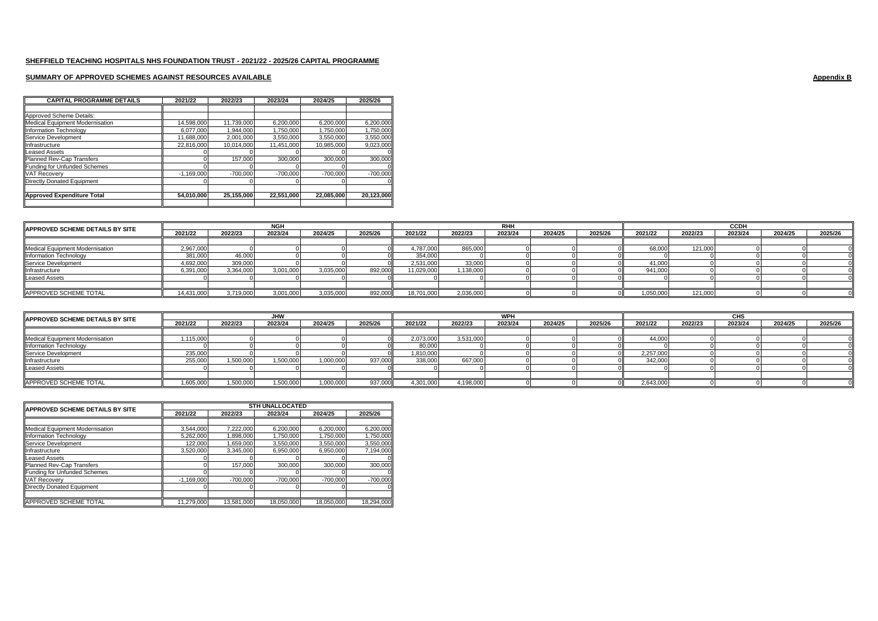## **SUMMARY OF APPROVED SCHEMES AGAINST RESOURCES AVAILABLE Appendix B**

| <b>CAPITAL PROGRAMME DETAILS</b> | 2021/22      | 2022/23    | 2023/24    | 2024/25    | 2025/26    |
|----------------------------------|--------------|------------|------------|------------|------------|
|                                  |              |            |            |            |            |
| Approved Scheme Details:         |              |            |            |            |            |
| Medical Equipment Modernisation  | 14,598,000   | 11.739.000 | 6,200,000  | 6,200,000  | 6,200,000  |
| <b>Information Technology</b>    | 6.077.000    | 1.944.000  | 1,750,000  | 1.750.000  | 1.750.000  |
| Service Development              | 11,688,000   | 2.001.000  | 3,550,000  | 3,550,000  | 3,550,000  |
| Infrastructure                   | 22,816,000   | 10,014,000 | 11,451,000 | 10,985,000 | 9,023,000  |
| <b>Leased Assets</b>             |              |            |            |            |            |
| Planned Rev-Cap Transfers        |              | 157,000    | 300,000    | 300,000    | 300,000    |
| Funding for Unfunded Schemes     |              |            |            |            |            |
| <b>VAT Recovery</b>              | $-1.169.000$ | $-700.000$ | $-700.000$ | $-700.000$ | $-700.000$ |
| Directly Donated Equipment       |              |            |            |            |            |
|                                  |              |            |            |            |            |
| Approved Expenditure Total       | 54.010.000   | 25,155,000 | 22,551,000 | 22.085.000 | 20.123.000 |
|                                  |              |            |            |            |            |

| <b>IAPPROVED SCHEME DETAILS BY SITE</b> |            | <b>NGH</b> |           |           |         |            |           | <b>RHH</b> |         |         |           | <b>CCDF</b> |         |         |         |  |
|-----------------------------------------|------------|------------|-----------|-----------|---------|------------|-----------|------------|---------|---------|-----------|-------------|---------|---------|---------|--|
|                                         | 2021/22    | 2022/23    | 2023/24   | 2024/25   | 2025/26 | 2021/22    | 2022/23   | 2023/24    | 2024/25 | 2025/26 | 2021/22   | 2022/23     | 2023/24 | 2024/25 | 2025/26 |  |
|                                         |            |            |           |           |         |            |           |            |         |         |           |             |         |         |         |  |
| Medical Equipment Modernisation         | 2,967,000  |            |           |           |         | 4,787,000  | 865,000   |            |         |         | 68,000    | 121.000     |         |         |         |  |
| Information Technology                  | 381.000    | 46,000     |           |           |         | 354,000    |           |            |         |         |           |             |         |         |         |  |
| Service Development                     | 4,692,000  | 309.000    |           |           |         | 2,531,000  | 33,000    |            |         |         | 41,00L    |             |         |         |         |  |
| Infrastructure                          | 5.391.000  | 3.364.000  | 3.001.000 | 3.035.000 | 892.000 | 11.029.000 | 138,000   |            |         |         | 941.00    |             |         |         |         |  |
| <b>Leased Assets</b>                    |            |            |           |           |         |            |           |            |         |         |           |             |         |         |         |  |
|                                         |            |            |           |           |         |            |           |            |         |         |           |             |         |         |         |  |
| APPROVED SCHEME TOTAL                   | 14,431,000 | 3.719.000  | 3,001,000 | 3,035,000 | 892.000 | 18.701.000 | 2,036,000 |            |         |         | 0.050,000 | 121,000     |         |         |         |  |

| <b>APPROVED SCHEME DETAILS BY SITE</b> |          | <b>JHW</b> |           |           |         |           | <b>WPH</b> |         |         |         |          | CHS     |         |         |         |
|----------------------------------------|----------|------------|-----------|-----------|---------|-----------|------------|---------|---------|---------|----------|---------|---------|---------|---------|
|                                        | 2021/22  | 2022/23    | 2023/24   | 2024/25   | 2025/26 | 2021/22   | 2022/23    | 2023/24 | 2024/25 | 2025/26 | 2021/22  | 2022/23 | 2023/24 | 2024/25 | 2025/26 |
|                                        |          |            |           |           |         |           |            |         |         |         |          |         |         |         |         |
| Medical Equipment Modernisation        | ,115,000 |            |           |           |         | 2,073,000 | 3,531,000  |         |         |         | 44,00    |         |         |         |         |
| Information Technology                 |          |            |           |           |         | 80,000    |            |         |         |         |          |         |         |         |         |
| Service Development                    | 235,000  |            |           |           |         | 1,810,000 |            |         |         |         | 2,257,00 |         |         |         |         |
| Infrastructure                         | 255.000  | 1.500.000  | 1.500.000 | 1.000.000 | 937.000 | 338,000   | 667.000    |         |         |         | 342,00   |         |         |         |         |
| <b>Leased Assets</b>                   |          |            |           |           |         |           |            |         |         |         |          |         |         |         |         |
|                                        |          |            |           |           |         |           |            |         |         |         |          |         |         |         |         |
| APPROVED SCHEME TOTAL                  | .605.000 | ,500,000   | .500.000  | 1,000,000 | 937.000 | 4.301.000 | 4.198.000  |         |         |         | 2.643.00 |         |         |         |         |

| <b>IAPPROVED SCHEME DETAILS BY SITE</b> |              | <b>STH UNALLOCATED</b> |            |            |            |  |  |  |  |  |  |
|-----------------------------------------|--------------|------------------------|------------|------------|------------|--|--|--|--|--|--|
|                                         | 2021/22      | 2022/23                | 2023/24    | 2024/25    | 2025/26    |  |  |  |  |  |  |
|                                         |              |                        |            |            |            |  |  |  |  |  |  |
| Medical Equipment Modernisation         | 3.544.000    | 7.222.000              | 6,200,000  | 6.200.000  | 6,200,000  |  |  |  |  |  |  |
| Information Technology                  | 5,262,000    | 1,898,000              | 1,750,000  | 1,750,000  | 1,750,000  |  |  |  |  |  |  |
| Service Development                     | 122,000      | 1,659,000              | 3,550,000  | 3,550,000  | 3,550,000  |  |  |  |  |  |  |
| Infrastructure                          | 3,520,000    | 3,345,000              | 6,950,000  | 6,950,000  | 7,194,000  |  |  |  |  |  |  |
| <b>Leased Assets</b>                    |              |                        |            |            | OΠ         |  |  |  |  |  |  |
| Planned Rev-Cap Transfers               |              | 157,000                | 300,000    | 300.000    | 300,000    |  |  |  |  |  |  |
| Funding for Unfunded Schemes            |              |                        |            |            |            |  |  |  |  |  |  |
| <b>VAT Recovery</b>                     | $-1.169.000$ | $-700,000$             | $-700,000$ | $-700.000$ | $-700,000$ |  |  |  |  |  |  |
| Directly Donated Equipment              |              |                        |            |            | ΩI         |  |  |  |  |  |  |
|                                         |              |                        |            |            |            |  |  |  |  |  |  |
| APPROVED SCHEME TOTAL                   | 11,279,000   | 13,581,000             | 18,050,000 | 18,050,000 | 18,294,000 |  |  |  |  |  |  |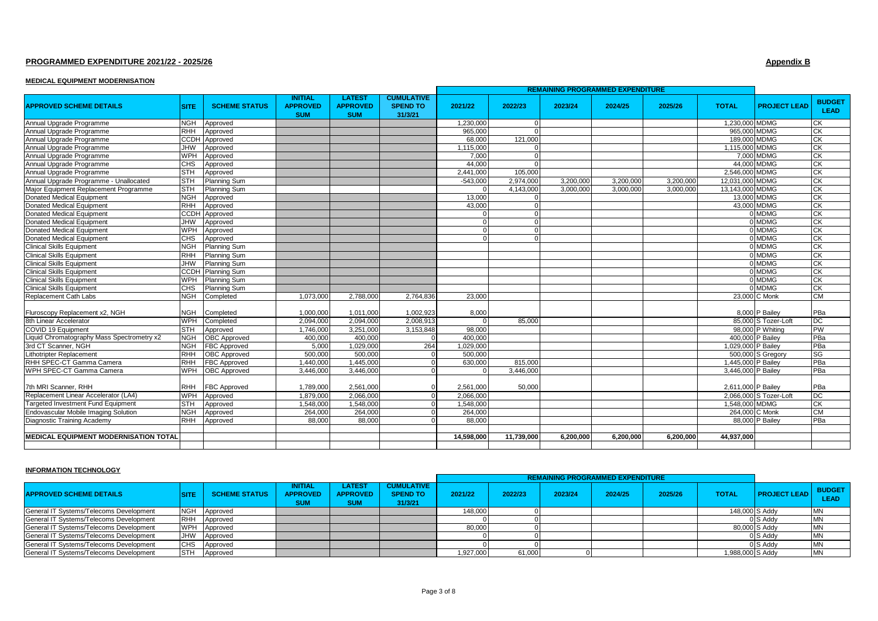## **PROGRAMMED EXPENDITURE 2021/22 - 2025/26 Appendix B**

## **MEDICAL EQUIPMENT MODERNISATION**

|                                              |             |                      |                                                 |                                                |                                                 |            |            | REMAINING PROGRAMMED EXPENDITURE |           |           |                    |                        |                              |
|----------------------------------------------|-------------|----------------------|-------------------------------------------------|------------------------------------------------|-------------------------------------------------|------------|------------|----------------------------------|-----------|-----------|--------------------|------------------------|------------------------------|
| <b>APPROVED SCHEME DETAILS</b>               | <b>SITE</b> | <b>SCHEME STATUS</b> | <b>INITIAL</b><br><b>APPROVED</b><br><b>SUM</b> | <b>LATEST</b><br><b>APPROVED</b><br><b>SUM</b> | <b>CUMULATIVE</b><br><b>SPEND TO</b><br>31/3/21 | 2021/22    | 2022/23    | 2023/24                          | 2024/25   | 2025/26   | <b>TOTAL</b>       | <b>PROJECT LEAD</b>    | <b>BUDGET</b><br><b>LEAD</b> |
| Annual Upgrade Programme                     | <b>NGH</b>  | Approved             |                                                 |                                                |                                                 | 1,230,000  | $\Omega$   |                                  |           |           | 1.230.000 MDMG     |                        | <b>CK</b>                    |
| Annual Upgrade Programme                     | <b>RHH</b>  | Approved             |                                                 |                                                |                                                 | 965,000    |            |                                  |           |           | 965,000 MDMG       |                        | $\overline{\text{CK}}$       |
| Annual Upgrade Programme                     | <b>CCDH</b> | Approved             |                                                 |                                                |                                                 | 68,000     | 121,000    |                                  |           |           | 189,000 MDMG       |                        | СK                           |
| Annual Upgrade Programme                     | <b>JHW</b>  | Approved             |                                                 |                                                |                                                 | 1,115,000  |            |                                  |           |           | 1.115.000 MDMG     |                        | CK                           |
| Annual Upgrade Programme                     | <b>WPH</b>  | Approved             |                                                 |                                                |                                                 | 7.000      |            |                                  |           |           |                    | 7.000 MDMG             | <b>CK</b>                    |
| Annual Upgrade Programme                     | <b>CHS</b>  | Approved             |                                                 |                                                |                                                 | 44,000     |            |                                  |           |           |                    | 44.000 MDMG            | CK                           |
| Annual Upgrade Programme                     | <b>STH</b>  | Approved             |                                                 |                                                |                                                 | 2,441,000  | 105,000    |                                  |           |           | 2.546,000 MDMG     |                        | СK                           |
| Annual Upgrade Programme - Unallocated       | <b>STH</b>  | Planning Sum         |                                                 |                                                |                                                 | $-543.000$ | 2.974.000  | 3.200.000                        | 3.200.000 | 3.200.000 | 12,031,000 MDMG    |                        | <b>CK</b>                    |
| Major Equipment Replacement Programme        | <b>STH</b>  | <b>Planning Sum</b>  |                                                 |                                                |                                                 |            | 4,143,000  | 3.000.000                        | 3.000.000 | 3.000.000 | 13,143,000 MDMG    |                        | $\overline{\text{CK}}$       |
| <b>Donated Medical Equipment</b>             | <b>NGH</b>  | Approved             |                                                 |                                                |                                                 | 13,000     |            |                                  |           |           |                    | 13.000 MDMG            | СK                           |
| Donated Medical Equipment                    | <b>RHH</b>  | Approved             |                                                 |                                                |                                                 | 43,000     | $\Omega$   |                                  |           |           |                    | 43,000 MDMG            | СK                           |
| <b>Donated Medical Equipment</b>             | <b>CCDH</b> | Approved             |                                                 |                                                |                                                 |            |            |                                  |           |           |                    | 0 MDMG                 | CK                           |
| <b>Donated Medical Equipment</b>             | <b>JHW</b>  | Approved             |                                                 |                                                |                                                 |            | $\Omega$   |                                  |           |           |                    | 0 MDMG                 | СK                           |
| <b>Donated Medical Equipment</b>             | <b>WPH</b>  | Approved             |                                                 |                                                |                                                 |            |            |                                  |           |           |                    | 0 MDMG                 | <b>CK</b>                    |
| Donated Medical Equipment                    | CHS         | Approved             |                                                 |                                                |                                                 |            |            |                                  |           |           |                    | 0 MDMG                 | $\overline{\text{CK}}$       |
| <b>Clinical Skills Equipment</b>             | <b>NGH</b>  | <b>Planning Sum</b>  |                                                 |                                                |                                                 |            |            |                                  |           |           |                    | 0 MDMG                 | СK                           |
| <b>Clinical Skills Equipment</b>             | <b>RHH</b>  | Planning Sum         |                                                 |                                                |                                                 |            |            |                                  |           |           |                    | 0 MDMG                 | <b>CK</b>                    |
| <b>Clinical Skills Equipment</b>             | <b>MHL</b>  | <b>Planning Sum</b>  |                                                 |                                                |                                                 |            |            |                                  |           |           |                    | 0 MDMG                 | <b>CK</b>                    |
| <b>Clinical Skills Equipment</b>             | <b>CCDH</b> | <b>Planning Sum</b>  |                                                 |                                                |                                                 |            |            |                                  |           |           |                    | 0 MDMG                 | $\overline{\text{CK}}$       |
| <b>Clinical Skills Equipment</b>             | <b>WPH</b>  | <b>Planning Sum</b>  |                                                 |                                                |                                                 |            |            |                                  |           |           |                    | 0 MDMG                 | СK                           |
| <b>Clinical Skills Equipment</b>             | CHS         | Planning Sum         |                                                 |                                                |                                                 |            |            |                                  |           |           |                    | 0 MDMG                 | СK                           |
| Replacement Cath Labs                        | <b>NGH</b>  | Completed            | 1.073.000                                       | 2.788.000                                      | 2.764.836                                       | 23.000     |            |                                  |           |           |                    | 23,000 C Monk          | <b>CM</b>                    |
| Fluroscopy Replacement x2, NGH               | <b>NGH</b>  | Completed            | 1.000.000                                       | 1.011.000                                      | 1.002.923                                       | 8.000      |            |                                  |           |           |                    | 8,000 P Bailey         | PBa                          |
| 8th Linear Accelerator                       | <b>WPH</b>  | Completed            | 2,094,000                                       | 2,094,000                                      | 2,008,913                                       |            | 85,000     |                                  |           |           |                    | 85,000 S Tozer-Loft    | <b>DC</b>                    |
| COVID 19 Equipment                           | <b>STH</b>  | Approved             | 1,746,000                                       | 3,251,000                                      | 3,153,848                                       | 98,000     |            |                                  |           |           |                    | 98,000 P Whiting       | PW                           |
| Liquid Chromatography Mass Spectrometry x2   | <b>NGH</b>  | <b>OBC</b> Approved  | 400.000                                         | 400,000                                        |                                                 | 400,000    |            |                                  |           |           |                    | 400,000 P Bailey       | PBa                          |
| 3rd CT Scanner, NGH                          | <b>NGH</b>  | <b>FBC Approved</b>  | 5.000                                           | 1,029,000                                      | 264                                             | 1,029,000  |            |                                  |           |           | 1,029,000 P Bailey |                        | PBa                          |
| Lithotripter Replacement                     | <b>RHH</b>  | <b>OBC</b> Approved  | 500,000                                         | 500,000                                        |                                                 | 500,000    |            |                                  |           |           |                    | 500,000 S Gregory      | SG                           |
| RHH SPEC-CT Gamma Camera                     | <b>RHH</b>  | <b>FBC Approved</b>  | 1.440.000                                       | 1.445.000                                      |                                                 | 630,000    | 815,000    |                                  |           |           | 1.445.000 P Bailey |                        | PBa                          |
| WPH SPEC-CT Gamma Camera                     | <b>WPH</b>  | <b>OBC</b> Approved  | 3.446.000                                       | 3.446.000                                      |                                                 |            | 3.446.000  |                                  |           |           | 3,446,000 P Bailey |                        | PBa                          |
| 7th MRI Scanner, RHH                         | <b>RHH</b>  | <b>FBC Approved</b>  | 1,789,000                                       | 2,561,000                                      |                                                 | 2,561,000  | 50,000     |                                  |           |           | 2,611,000 P Bailey |                        | PBa                          |
| Replacement Linear Accelerator (LA4)         | <b>MPH</b>  | Approved             | 1,879,000                                       | 2,066,000                                      |                                                 | 2,066,000  |            |                                  |           |           |                    | 2,066,000 S Tozer-Loft | DC                           |
| <b>Targeted Investment Fund Equipment</b>    | <b>STH</b>  | Approved             | 1.548.000                                       | 1.548,000                                      | $\Omega$                                        | 1.548.000  |            |                                  |           |           | 1.548,000 MDMG     |                        | CK                           |
| <b>Endovascular Mobile Imaging Solution</b>  | <b>NGH</b>  | Approved             | 264.000                                         | 264,000                                        |                                                 | 264,000    |            |                                  |           |           |                    | 264,000 C Monk         | CM                           |
| Diagnostic Training Academy                  | <b>RHH</b>  | Approved             | 88.000                                          | 88,000                                         |                                                 | 88,000     |            |                                  |           |           |                    | 88,000 P Bailey        | PBa                          |
|                                              |             |                      |                                                 |                                                |                                                 |            |            |                                  |           |           |                    |                        |                              |
| <b>MEDICAL EQUIPMENT MODERNISATION TOTAL</b> |             |                      |                                                 |                                                |                                                 | 14.598.000 | 11,739,000 | 6.200.000                        | 6.200.000 | 6.200.000 | 44.937.000         |                        |                              |
|                                              |             |                      |                                                 |                                                |                                                 |            |            |                                  |           |           |                    |                        |                              |

## **INFORMATION TECHNOLOGY**

| <b>APPROVED SCHEME DETAILS</b>          | <b>SITE</b> | SCHEME STATUS | INITIAL<br><b>APPROVED</b><br><b>SUM</b> | <b>LATEST</b><br><b>APPROVED</b><br><b>SUM</b> | <b>CUMULATIVE</b><br><b>SPEND TO</b><br>31/3/21 | 2021/22  | 2022/23 | 2023/24 | 2024/25 | 2025/26 | <b>TOTAL</b>     | <b>PROJECT LEAD</b> | <b>BUDGET</b><br><b>LEAD</b> |
|-----------------------------------------|-------------|---------------|------------------------------------------|------------------------------------------------|-------------------------------------------------|----------|---------|---------|---------|---------|------------------|---------------------|------------------------------|
| General IT Systems/Telecoms Development | <b>NGH</b>  | Approved      |                                          |                                                |                                                 | 148.000  |         |         |         |         | 148,000 S Addy   |                     |                              |
| General IT Systems/Telecoms Development | <b>RHH</b>  | Approved      |                                          |                                                |                                                 |          |         |         |         |         |                  | 0 S Addy            |                              |
| General IT Systems/Telecoms Development | <b>WPH</b>  | Approved      |                                          |                                                |                                                 | 80,000   |         |         |         |         |                  | 80,000 S Addy       |                              |
| General IT Systems/Telecoms Development | <b>JHW</b>  | Approved      |                                          |                                                |                                                 |          |         |         |         |         |                  | 0 S Addy            | MN                           |
| General IT Systems/Telecoms Development | <b>CHS</b>  | Approved      |                                          |                                                |                                                 |          |         |         |         |         |                  | 0 S Addy            |                              |
| General IT Systems/Telecoms Development | <b>ISTH</b> | Approved      |                                          |                                                |                                                 | ,927,000 | 61,000  |         |         |         | 1,988,000 S Addy |                     | <b>MN</b>                    |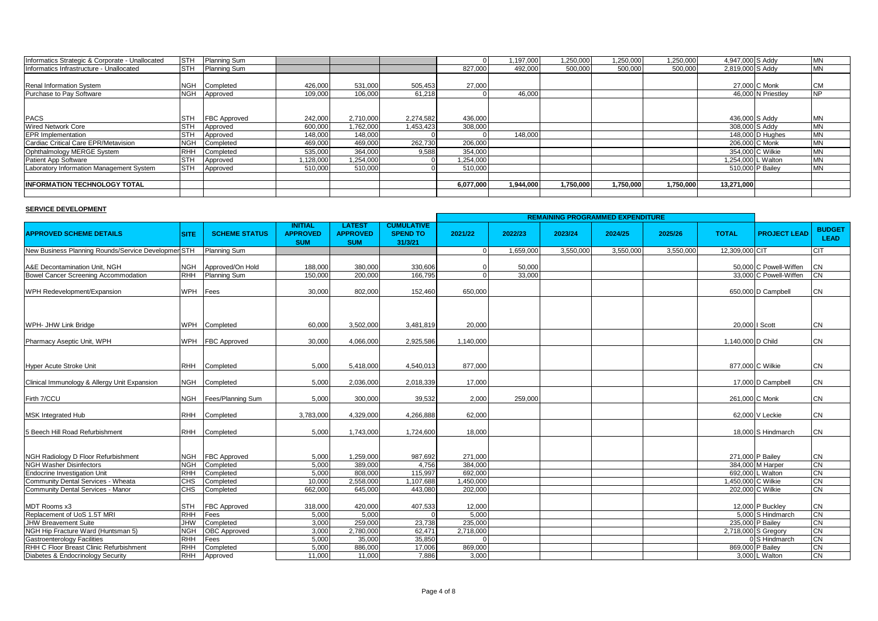| Informatics Strategic & Corporate - Unallocated | <b>STH</b> | <b>Planning Sum</b> |         |           |           |           | 1,197,000 | 1,250,000 | 1,250,000 | 1,250,000 | 4,947,000 S Addy   |                    | <b>IMN</b> |
|-------------------------------------------------|------------|---------------------|---------|-----------|-----------|-----------|-----------|-----------|-----------|-----------|--------------------|--------------------|------------|
| Informatics Infrastructure - Unallocated        | <b>STH</b> | <b>Planning Sum</b> |         |           |           | 827.000   | 492.000   | 500.000   | 500.000   | 500.000   | 2,819,000 S Addy   |                    | <b>MN</b>  |
|                                                 |            |                     |         |           |           |           |           |           |           |           |                    |                    |            |
| <b>Renal Information System</b>                 | NGH        | Completed           | 426,000 | 531,000   | 505,453   | 27,000    |           |           |           |           |                    | 27,000 C Monk      | <b>CM</b>  |
| Purchase to Pay Software                        | <b>NGH</b> | Approved            | 109,000 | 106,000   | 61,218    |           | 46,000    |           |           |           |                    | 46,000 N Priestley | <b>NP</b>  |
|                                                 |            |                     |         |           |           |           |           |           |           |           |                    |                    |            |
|                                                 |            |                     |         |           |           |           |           |           |           |           |                    |                    |            |
| <b>PACS</b>                                     | <b>STH</b> | <b>FBC Approved</b> | 242,000 | 2.710.000 | 2,274,582 | 436,000   |           |           |           |           | 436,000 S Addy     |                    | <b>MN</b>  |
| <b>Wired Network Core</b>                       | <b>STH</b> | Approved            | 600,000 | 1,762,000 | 1.453.423 | 308,000   |           |           |           |           | 308,000 S Addy     |                    | <b>IMN</b> |
| <b>EPR</b> Implementation                       | <b>STH</b> | Approved            | 148,000 | 148,000   |           |           | 148,000   |           |           |           |                    | 148,000 D Hughes   | <b>MN</b>  |
| Cardiac Critical Care EPR/Metavision            | NGH        | Completed           | 469,000 | 469,000   | 262,730   | 206,000   |           |           |           |           | 206,000 C Monk     |                    | <b>IMN</b> |
| Ophthalmology MERGE System                      | <b>RHH</b> | Completed           | 535,000 | 364.000   | 9,588     | 354,000   |           |           |           |           | 354,000 C Wilkie   |                    | <b>IMN</b> |
| Patient App Software                            | <b>STH</b> | Approved            | 128,000 | 1,254,000 |           | 1,254,000 |           |           |           |           | 1,254,000 L Walton |                    | <b>IMN</b> |
| Laboratory Information Management System        | <b>STH</b> | Approved            | 510,000 | 510,000   |           | 510,000   |           |           |           |           | 510,000 P Bailey   |                    | <b>MN</b>  |
|                                                 |            |                     |         |           |           |           |           |           |           |           |                    |                    |            |
| <b>IINFORMATION TECHNOLOGY TOTAL</b>            |            |                     |         |           |           | 6,077,000 | 1,944,000 | 1,750,000 | 1,750,000 | 1,750,000 | 13,271,000         |                    |            |
|                                                 |            |                     |         |           |           |           |           |           |           |           |                    |                    |            |

## **SERVICE DEVELOPMENT**

|                                                     |             |                       |                                                 |                                                |                                                 | <b>REMAINING PROGRAMMED EXPENDITURE</b> |           |           |           |           |                    |                        |                              |
|-----------------------------------------------------|-------------|-----------------------|-------------------------------------------------|------------------------------------------------|-------------------------------------------------|-----------------------------------------|-----------|-----------|-----------|-----------|--------------------|------------------------|------------------------------|
| <b>APPROVED SCHEME DETAILS</b>                      | <b>SITE</b> | <b>SCHEME STATUS</b>  | <b>INITIAL</b><br><b>APPROVED</b><br><b>SUM</b> | <b>LATEST</b><br><b>APPROVED</b><br><b>SUM</b> | <b>CUMULATIVE</b><br><b>SPEND TO</b><br>31/3/21 | 2021/22                                 | 2022/23   | 2023/24   | 2024/25   | 2025/26   | <b>TOTAL</b>       | <b>PROJECT LEAD</b>    | <b>BUDGET</b><br><b>LEAD</b> |
| New Business Planning Rounds/Service Developmen STH |             | <b>Planning Sum</b>   |                                                 |                                                |                                                 |                                         | 1,659,000 | 3,550,000 | 3,550,000 | 3,550,000 | 12,309,000 CIT     |                        | CIT                          |
|                                                     |             |                       |                                                 |                                                |                                                 |                                         |           |           |           |           |                    |                        |                              |
| A&E Decontamination Unit, NGH                       | NGH         | Approved/On Hold      | 188.000                                         | 380.000                                        | 330.606                                         |                                         | 50,000    |           |           |           |                    | 50,000 C Powell-Wiffen | CN                           |
| Bowel Cancer Screening Accommodation                | <b>RHH</b>  | Planning Sum          | 150,000                                         | 200,000                                        | 166,795                                         |                                         | 33,000    |           |           |           |                    | 33,000 C Powell-Wiffen | <b>CN</b>                    |
| WPH Redevelopment/Expansion                         | <b>WPH</b>  | Fees                  | 30,000                                          | 802.000                                        | 152,460                                         | 650,000                                 |           |           |           |           |                    | 650,000 D Campbell     | CN                           |
|                                                     |             |                       |                                                 |                                                |                                                 |                                         |           |           |           |           |                    |                        |                              |
| WPH- JHW Link Bridge                                |             | WPH Completed         | 60.000                                          | 3.502.000                                      | 3.481.819                                       | 20.000                                  |           |           |           |           | 20,000   Scott     |                        | <b>CN</b>                    |
| Pharmacy Aseptic Unit, WPH                          |             | WPH FBC Approved      | 30,000                                          | 4,066,000                                      | 2,925,586                                       | 1,140,000                               |           |           |           |           | 1,140,000 D Child  |                        | CN                           |
|                                                     |             |                       |                                                 |                                                |                                                 |                                         |           |           |           |           |                    |                        |                              |
| Hyper Acute Stroke Unit                             | <b>RHH</b>  | Completed             | 5.000                                           | 5,418,000                                      | 4,540,013                                       | 877,000                                 |           |           |           |           |                    | 877,000 C Wilkie       | <b>CN</b>                    |
| Clinical Immunology & Allergy Unit Expansion        | <b>NGH</b>  | Completed             | 5,000                                           | 2,036,000                                      | 2,018,339                                       | 17,000                                  |           |           |           |           |                    | 17,000 D Campbell      | <b>CN</b>                    |
| Firth 7/CCU                                         |             | NGH Fees/Planning Sum | 5.000                                           | 300,000                                        | 39,532                                          | 2.000                                   | 259,000   |           |           |           | 261,000 C Monk     |                        | CN                           |
| <b>MSK Integrated Hub</b>                           | <b>RHH</b>  | Completed             | 3,783,000                                       | 4,329,000                                      | 4,266,888                                       | 62,000                                  |           |           |           |           |                    | 62,000 V Leckie        | CN                           |
| 5 Beech Hill Road Refurbishment                     | <b>RHH</b>  | Completed             | 5.000                                           | 1.743.000                                      | 1.724.600                                       | 18.000                                  |           |           |           |           |                    | 18,000 S Hindmarch     | CN                           |
|                                                     |             |                       |                                                 |                                                |                                                 |                                         |           |           |           |           |                    |                        |                              |
| NGH Radiology D Floor Refurbishment                 | <b>NGH</b>  | FBC Approved          | 5,000                                           | 1,259,000                                      | 987,692                                         | 271,000                                 |           |           |           |           |                    | 271,000 P Bailey       | <b>CN</b>                    |
| <b>NGH Washer Disinfectors</b>                      | <b>NGH</b>  | Completed             | 5.000                                           | 389,000                                        | 4.756                                           | 384.000                                 |           |           |           |           |                    | 384,000 M Harper       | <b>CN</b>                    |
| Endocrine Investigation Unit                        | <b>RHH</b>  | Completed             | 5.000                                           | 808.000                                        | 115,997                                         | 692,000                                 |           |           |           |           |                    | 692.000 L Walton       | <b>CN</b>                    |
| Community Dental Services - Wheata                  | <b>CHS</b>  | Completed             | 10.000                                          | 2,558,000                                      | 1,107,688                                       | 1,450,000                               |           |           |           |           | 1,450,000 C Wilkie |                        | CN                           |
| Community Dental Services - Manor                   | <b>CHS</b>  | Completed             | 662,000                                         | 645,000                                        | 443,080                                         | 202,000                                 |           |           |           |           |                    | 202,000 C Wilkie       | <b>CN</b>                    |
| MDT Rooms x3                                        | <b>STH</b>  | FBC Approved          | 318,000                                         | 420,000                                        | 407,533                                         | 12,000                                  |           |           |           |           |                    | 12,000 P Buckley       | <b>CN</b>                    |
| Replacement of UoS 1.5T MRI                         | <b>RHH</b>  | Fees                  | 5,000                                           | 5,000                                          |                                                 | 5.000                                   |           |           |           |           |                    | 5,000 S Hindmarch      | <b>CN</b>                    |
| <b>JHW Breavement Suite</b>                         | <b>WHL</b>  | Completed             | 3,000                                           | 259,000                                        | 23,738                                          | 235,000                                 |           |           |           |           |                    | 235,000 P Bailey       | <b>CN</b>                    |
| NGH Hip Fracture Ward (Huntsman 5)                  | <b>NGH</b>  | <b>OBC</b> Approved   | 3,000                                           | 2,780,000                                      | 62,471                                          | 2,718,000                               |           |           |           |           |                    | 2,718,000 S Gregory    | <b>CN</b>                    |
| <b>Gastroenterology Facilities</b>                  | <b>RHH</b>  | Fees                  | 5,000                                           | 35,000                                         | 35,850                                          |                                         |           |           |           |           |                    | 0S Hindmarch           | <b>CN</b>                    |
| RHH C Floor Breast Clinic Refurbishment             | <b>RHH</b>  | Completed             | 5,000                                           | 886,000                                        | 17,006                                          | 869,000                                 |           |           |           |           |                    | 869,000 P Bailey       | CN                           |
| Diabetes & Endocrinology Security                   | RHH         | Approved              | 11,000                                          | 11.000                                         | 7,886                                           | 3.000                                   |           |           |           |           |                    | 3,000 L Walton         | <b>CN</b>                    |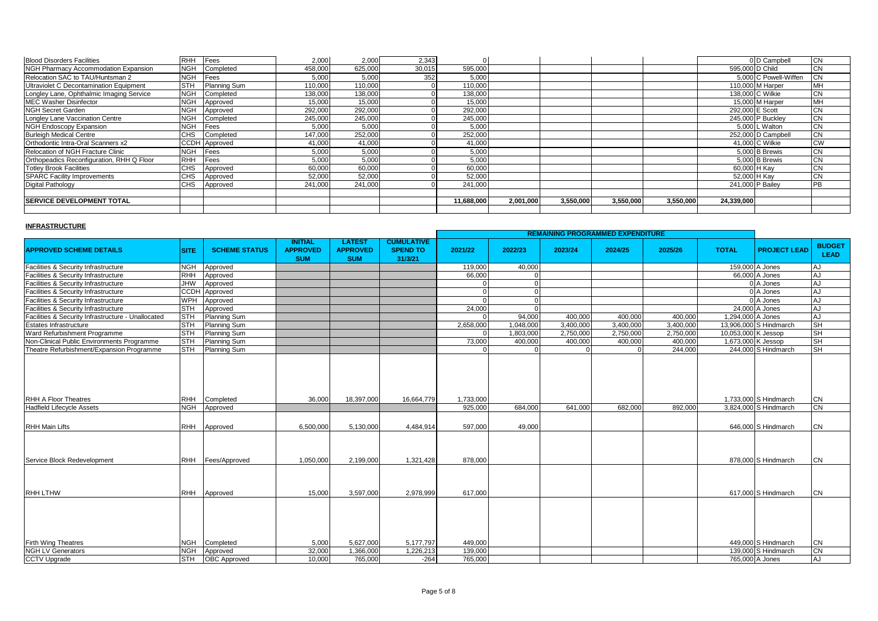| <b>Blood Disorders Facilities</b>         | <b>RHH</b> | Fees          | 2,000   | 2,000   | 2,343  |            |           |           |           |           |            | 0 D Campbell          | СN        |
|-------------------------------------------|------------|---------------|---------|---------|--------|------------|-----------|-----------|-----------|-----------|------------|-----------------------|-----------|
| NGH Pharmacy Accommodation Expansion      | <b>NGH</b> | Completed     | 458,000 | 625,000 | 30,015 | 595,000    |           |           |           |           |            | 595,000 D Child       | СN        |
| Relocation SAC to TAU/Huntsman 2          | <b>NGH</b> | Fees          | 5.000   | 5,000   | 352    | 5,000      |           |           |           |           |            | 5,000 C Powell-Wiffen |           |
| Ultraviolet C Decontamination Equipment   | <b>STH</b> | Planning Sum  | 110,000 | 110,000 |        | 110,000    |           |           |           |           |            | 110,000 M Harper      | мн        |
| Longley Lane, Ophthalmic Imaging Service  | <b>NGH</b> | Completed     | 138,000 | 138,000 |        | 138,000    |           |           |           |           |            | 138,000 C Wilkie      | СN        |
| <b>MEC Washer Disinfector</b>             | <b>NGH</b> | Approved      | 15,000  | 15,000  |        | 15,000     |           |           |           |           |            | 15.000 M Harper       | MН        |
| <b>NGH Secret Garden</b>                  | <b>NGH</b> | Approved      | 292,000 | 292,000 |        | 292,000    |           |           |           |           |            | 292,000 E Scott       | СN        |
| Longley Lane Vaccination Centre           | <b>NGH</b> | Completed     | 245,000 | 245,000 |        | 245,000    |           |           |           |           |            | 245,000 P Buckley     | <b>CN</b> |
| <b>NGH Endoscopy Expansion</b>            | <b>NGH</b> | Fees          | 5,000   | 5,000   |        | 5,000      |           |           |           |           |            | 5,000 L Walton        | <b>CN</b> |
| <b>Burleigh Medical Centre</b>            | <b>CHS</b> | Completed     | 147,000 | 252,000 |        | 252.000    |           |           |           |           |            | 252.000 D Campbell    | CN        |
| Orthodontic Intra-Oral Scanners x2        |            | CCDH Approved | 41,000  | 41,000  |        | 41,000     |           |           |           |           |            | 41,000 C Wilkie       | <b>CW</b> |
| Relocation of NGH Fracture Clinic         | <b>NGH</b> | <b>Fees</b>   | 5,000   | 5,000   |        | 5,000      |           |           |           |           |            | 5.000 B Brewis        | <b>CN</b> |
| Orthopeadics Reconfiguration, RHH Q Floor | RHH        | Fees          | 5,000   | 5,000   |        | 5,000      |           |           |           |           |            | 5,000 B Brewis        | CN        |
| <b>Totley Brook Facilities</b>            | <b>CHS</b> | Approved      | 60,000  | 60,000  |        | 60,000     |           |           |           |           |            | 60,000 H Kay          | CN        |
| <b>SPARC Facility Improvements</b>        | <b>CHS</b> | Approved      | 52,000  | 52,000  |        | 52,000     |           |           |           |           |            | 52,000 H Kay          | <b>CN</b> |
| Digital Pathology                         | <b>CHS</b> | Approved      | 241,000 | 241,000 |        | 241,000    |           |           |           |           |            | 241,000 P Bailey      | <b>PB</b> |
|                                           |            |               |         |         |        |            |           |           |           |           |            |                       |           |
| <b>SERVICE DEVELOPMENT TOTAL</b>          |            |               |         |         |        | 11,688,000 | 2.001.000 | 3,550,000 | 3,550,000 | 3.550.000 | 24,339,000 |                       |           |
|                                           |            |               |         |         |        |            |           |           |           |           |            |                       |           |

## **INFRASTRUCTURE**

|                                                    |             |                      |                                                 |                                                |                                                 | <b>REMAINING PROGRAMMED EXPENDITURE</b> |           |           |           |           |                     |                        |                              |
|----------------------------------------------------|-------------|----------------------|-------------------------------------------------|------------------------------------------------|-------------------------------------------------|-----------------------------------------|-----------|-----------|-----------|-----------|---------------------|------------------------|------------------------------|
| <b>APPROVED SCHEME DETAILS</b>                     | <b>SITE</b> | <b>SCHEME STATUS</b> | <b>INITIAL</b><br><b>APPROVED</b><br><b>SUM</b> | <b>LATEST</b><br><b>APPROVED</b><br><b>SUM</b> | <b>CUMULATIVE</b><br><b>SPEND TO</b><br>31/3/21 | 2021/22                                 | 2022/23   | 2023/24   | 2024/25   | 2025/26   | <b>TOTAL</b>        | <b>PROJECT LEAD</b>    | <b>BUDGET</b><br><b>LEAD</b> |
| Facilities & Security Infrastructure               | <b>NGH</b>  | Approved             |                                                 |                                                |                                                 | 119.000                                 | 40,000    |           |           |           |                     | 159,000 A Jones        | AJ.                          |
| Facilities & Security Infrastructure               | <b>RHH</b>  | Approved             |                                                 |                                                |                                                 | 66,000                                  |           |           |           |           |                     | 66,000 A Jones         | <b>AJ</b>                    |
| Facilities & Security Infrastructure               | <b>JHW</b>  | Approved             |                                                 |                                                |                                                 |                                         |           |           |           |           |                     | 0 A Jones              | AJ                           |
| Facilities & Security Infrastructure               | <b>CCDH</b> | Approved             |                                                 |                                                |                                                 |                                         |           |           |           |           |                     | 0 A Jones              | AJ                           |
| Facilities & Security Infrastructure               | <b>WPH</b>  | Approved             |                                                 |                                                |                                                 |                                         |           |           |           |           |                     | 0 A Jones              | AJ                           |
| Facilities & Security Infrastructure               | <b>STH</b>  | Approved             |                                                 |                                                |                                                 | 24,000                                  |           |           |           |           |                     | 24,000 A Jones         | AJ                           |
| Facilities & Security Infrastructure - Unallocated | <b>STH</b>  | Planning Sum         |                                                 |                                                |                                                 |                                         | 94,000    | 400,000   | 400,000   | 400,000   | 1,294,000 A Jones   |                        | AJ                           |
| <b>Estates Infrastructure</b>                      | <b>STH</b>  | Planning Sum         |                                                 |                                                |                                                 | 2,658,000                               | 1,048,000 | 3.400.000 | 3,400,000 | 3.400.000 |                     | 13,906,000 S Hindmarch | <b>SH</b>                    |
| Ward Refurbishment Programme                       | <b>STH</b>  | Planning Sum         |                                                 |                                                |                                                 |                                         | 1,803,000 | 2,750,000 | 2,750,000 | 2,750,000 | 10,053,000 K Jessop |                        | <b>SH</b>                    |
| Non-Clinical Public Environments Programme         | <b>STH</b>  | Planning Sum         |                                                 |                                                |                                                 | 73.000                                  | 400,000   | 400.000   | 400.000   | 400.000   |                     | 1,673,000 K Jessop     | <b>SH</b>                    |
| Theatre Refurbishment/Expansion Programme          | <b>STH</b>  | Planning Sum         |                                                 |                                                |                                                 |                                         |           |           |           | 244,000   |                     | 244,000 S Hindmarch    | <b>SH</b>                    |
| <b>RHH A Floor Theatres</b>                        |             | RHH Completed        | 36.000                                          | 18.397.000                                     | 16.664.779                                      | 1.733.000                               |           |           |           |           |                     | 1.733.000 S Hindmarch  | <b>CN</b>                    |
| <b>Hadfield Lifecycle Assets</b>                   | <b>NGH</b>  | Approved             |                                                 |                                                |                                                 | 925,000                                 | 684,000   | 641.000   | 682.000   | 892.000   |                     | 3,824,000 S Hindmarch  | C <sub>N</sub>               |
| <b>RHH Main Lifts</b>                              |             | RHH Approved         | 6,500,000                                       | 5,130,000                                      | 4,484,914                                       | 597,000                                 | 49,000    |           |           |           |                     | 646,000 S Hindmarch    | <b>CN</b>                    |
| Service Block Redevelopment                        |             | RHH Fees/Approved    | 1,050,000                                       | 2,199,000                                      | 1,321,428                                       | 878,000                                 |           |           |           |           |                     | 878,000 S Hindmarch    | <b>CN</b>                    |
| <b>RHH LTHW</b>                                    |             | RHH Approved         | 15.000                                          | 3.597.000                                      | 2.978.999                                       | 617.000                                 |           |           |           |           |                     | 617.000 S Hindmarch    | <b>CN</b>                    |
|                                                    |             |                      |                                                 |                                                |                                                 |                                         |           |           |           |           |                     |                        |                              |
| <b>Firth Wing Theatres</b>                         |             | NGH Completed        | 5.000                                           | 5.627.000                                      | 5,177,797                                       | 449.000                                 |           |           |           |           |                     | 449.000 S Hindmarch    | <b>CN</b>                    |
| <b>NGH LV Generators</b>                           | <b>NGH</b>  | Approved             | 32,000                                          | 1,366,000                                      | 1,226,213                                       | 139,000                                 |           |           |           |           |                     | 139,000 S Hindmarch    | <b>CN</b>                    |
| <b>CCTV Upgrade</b>                                | <b>STH</b>  | <b>OBC</b> Approved  | 10,000                                          | 765,000                                        | $-264$                                          | 765,000                                 |           |           |           |           |                     | 765,000 A Jones        | <b>AJ</b>                    |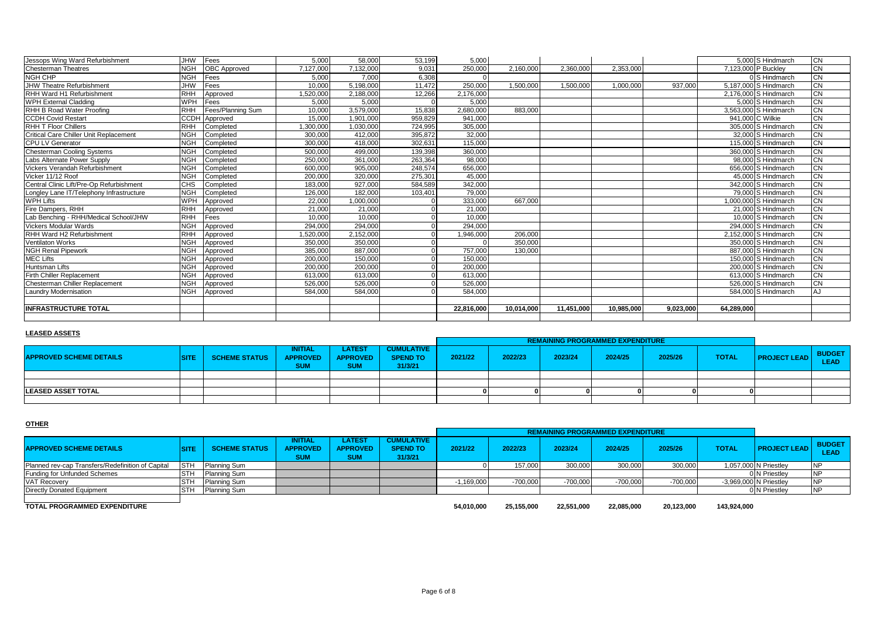| Longley Lane IT/Telephony Infrastructure | <b>NGH</b> | Completed | 126,000   | 182.000   | 103,401 | 79,000     |            |            |            |           | 79,000 S Hindmarch    | <b>CN</b> |
|------------------------------------------|------------|-----------|-----------|-----------|---------|------------|------------|------------|------------|-----------|-----------------------|-----------|
| <b>WPH Lifts</b>                         | <b>WPH</b> |           |           |           |         |            | 667.000    |            |            |           | 1.000.000 S Hindmarch | <b>CN</b> |
|                                          |            | Approved  | 22,000    | 1,000,000 |         | 333,000    |            |            |            |           |                       |           |
| Fire Dampers, RHH                        | RHH        | Approved  | 21,000    | 21,000    |         | 21,000     |            |            |            |           | 21,000 S Hindmarch    | <b>CN</b> |
| Lab Benching - RHH/Medical School/JHW    | RHH        | Fees      | 10.000    | 10,000    |         | 10.000     |            |            |            |           | 10,000 S Hindmarch    | <b>CN</b> |
| <b>Vickers Modular Wards</b>             | <b>NGH</b> | Approved  | 294.000   | 294.000   |         | 294,000    |            |            |            |           | 294.000 S Hindmarch   | <b>CN</b> |
| RHH Ward H2 Refurbishment                | <b>RHH</b> | Approved  | 1,520,000 | 2,152,000 |         | 1,946,000  | 206,000    |            |            |           | 2,152,000 S Hindmarch | CN        |
| Ventilaton Works                         | <b>NGH</b> | Approved  | 350,000   | 350,000   |         |            | 350,000    |            |            |           | 350,000 S Hindmarch   | <b>CN</b> |
| <b>NGH Renal Pipework</b>                | <b>NGH</b> | Approved  | 385,000   | 887,000   |         | 757.000    | 130,000    |            |            |           | 887,000 S Hindmarch   | <b>CN</b> |
| <b>MEC Lifts</b>                         | <b>NGH</b> | Approved  | 200,000   | 150,000   |         | 150,000    |            |            |            |           | 150,000 S Hindmarch   | <b>CN</b> |
| <b>Huntsman Lifts</b>                    | <b>NGH</b> | Approved  | 200.000   | 200,000   |         | 200,000    |            |            |            |           | 200.000 S Hindmarch   | <b>CN</b> |
| Firth Chiller Replacement                | <b>NGH</b> | Approved  | 613,000   | 613,000   |         | 613.000    |            |            |            |           | 613,000 S Hindmarch   | <b>CN</b> |
| Chesterman Chiller Replacement           | <b>NGH</b> | Approved  | 526,000   | 526,000   |         | 526,000    |            |            |            |           | 526,000 S Hindmarch   | CN        |
| <b>Laundry Modernisation</b>             | <b>NGH</b> | Approved  | 584.000   | 584.000   |         | 584,000    |            |            |            |           | 584,000 S Hindmarch   |           |
|                                          |            |           |           |           |         |            |            |            |            |           |                       |           |
| <b>INFRASTRUCTURE TOTAL</b>              |            |           |           |           |         | 22,816,000 | 10,014,000 | 11,451,000 | 10,985,000 | 9,023,000 | 64,289,000            |           |

#### **LEASED ASSETS**

|                                |              |                      |                                            |                                                |                                                 |         |         | <b>REMAINING PROGRAMMED EXPENDITURE</b> |         |         |              |                     |                              |
|--------------------------------|--------------|----------------------|--------------------------------------------|------------------------------------------------|-------------------------------------------------|---------|---------|-----------------------------------------|---------|---------|--------------|---------------------|------------------------------|
| <b>APPROVED SCHEME DETAILS</b> | <b>TOITL</b> | <b>SCHEME STATUS</b> | <b>INITIAL</b><br>APPROVED  <br><b>SUM</b> | <b>LATEST</b><br><b>APPROVED</b><br><b>SUM</b> | <b>CUMULATIVE</b><br><b>SPEND TO</b><br>31/3/21 | 2021/22 | 2022/23 | 2023/24                                 | 2024/25 | 2025/26 | <b>TOTAL</b> | <b>PROJECT LEAD</b> | <b>BUDGET</b><br><b>LEAD</b> |
|                                |              |                      |                                            |                                                |                                                 |         |         |                                         |         |         |              |                     |                              |
|                                |              |                      |                                            |                                                |                                                 |         |         |                                         |         |         |              |                     |                              |
| <b>LEASED ASSET TOTAL</b>      |              |                      |                                            |                                                |                                                 |         |         |                                         |         |         |              |                     |                              |
|                                |              |                      |                                            |                                                |                                                 |         |         |                                         |         |         |              |                     |                              |

#### **OTHER**

|                                                   |             |                      |                                          |                                                |                                                 |              |            | <b>REMAINING PROGRAMMED EXPENDITURE</b> |            |            |              |                        |                              |
|---------------------------------------------------|-------------|----------------------|------------------------------------------|------------------------------------------------|-------------------------------------------------|--------------|------------|-----------------------------------------|------------|------------|--------------|------------------------|------------------------------|
| <b>APPROVED SCHEME DETAILS</b>                    | <b>SITE</b> | <b>SCHEME STATUS</b> | INITIAL<br><b>APPROVED</b><br><b>SUM</b> | <b>LATEST</b><br><b>APPROVED</b><br><b>SUM</b> | <b>CUMULATIVE</b><br><b>SPEND TO</b><br>31/3/21 | 2021/22      | 2022/23    | 2023/24                                 | 2024/25    | 2025/26    | <b>TOTAL</b> | <b>PROJECT LEAD</b>    | <b>BUDGET</b><br><b>LEAD</b> |
| Planned rev-cap Transfers/Redefinition of Capital | <b>ISTH</b> | Planning Sum         |                                          |                                                |                                                 |              | 157,000    | 300,000                                 | 300,000    | 300,000    |              | 1,057,000 N Priestley  |                              |
| Funding for Unfunded Schemes                      | <b>STH</b>  | <b>Planning Sum</b>  |                                          |                                                |                                                 |              |            |                                         |            |            |              | 0 N Priestley          |                              |
| <b>VAT Recovery</b>                               | <b>STH</b>  | Planning Sum         |                                          |                                                |                                                 | $-1,169,000$ | $-700.000$ | $-700,000$                              | $-700.000$ | $-700,000$ |              | -3,969,000 N Priestley |                              |
| Directly Donated Equipment                        | <b>ISTH</b> | Planning Sum         |                                          |                                                |                                                 |              |            |                                         |            |            |              | 0 N Priestley          |                              |
| TOTAL PROGRAMMED EXPENDITURE                      |             |                      |                                          |                                                |                                                 | 54.010.000   | 25.155.000 | 22.551.000                              | 22.085.000 | 20.123.000 | 143.924.000  |                        |                              |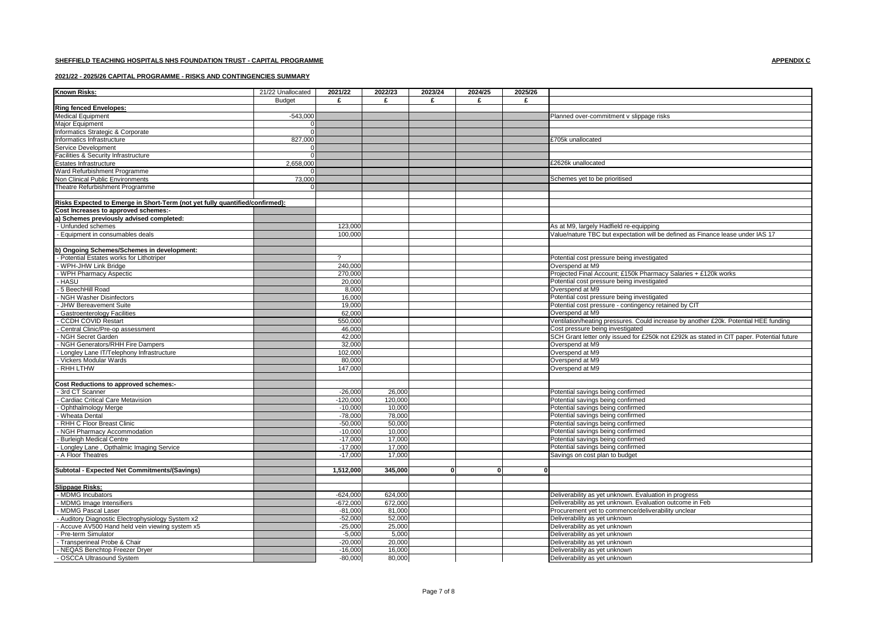#### **2021/22 - 2025/26 CAPITAL PROGRAMME - RISKS AND CONTINGENCIES SUMMARY**

| <b>Known Risks:</b>                                                          | 21/22 Unallocated | 2021/22        | 2022/23 | 2023/24 | 2024/25 | 2025/26 |                                                                                           |
|------------------------------------------------------------------------------|-------------------|----------------|---------|---------|---------|---------|-------------------------------------------------------------------------------------------|
|                                                                              | <b>Budget</b>     | £              | £       | £       | £       | £       |                                                                                           |
| <b>Ring fenced Envelopes:</b>                                                |                   |                |         |         |         |         |                                                                                           |
| <b>Medical Equipment</b>                                                     | $-543,000$        |                |         |         |         |         | Planned over-commitment v slippage risks                                                  |
| Major Equipment                                                              |                   |                |         |         |         |         |                                                                                           |
| Informatics Strategic & Corporate                                            | $\Omega$          |                |         |         |         |         |                                                                                           |
| Informatics Infrastructure                                                   | 827,000           |                |         |         |         |         | £705k unallocated                                                                         |
| Service Development                                                          |                   |                |         |         |         |         |                                                                                           |
| Facilities & Security Infrastructure                                         |                   |                |         |         |         |         |                                                                                           |
| Estates Infrastructure                                                       | 2,658,000         |                |         |         |         |         | £2626k unallocated                                                                        |
| Ward Refurbishment Programme                                                 |                   |                |         |         |         |         |                                                                                           |
| Non Clinical Public Environments                                             | 73,000            |                |         |         |         |         | Schemes yet to be prioritised                                                             |
| Theatre Refurbishment Programme                                              |                   |                |         |         |         |         |                                                                                           |
|                                                                              |                   |                |         |         |         |         |                                                                                           |
|                                                                              |                   |                |         |         |         |         |                                                                                           |
| Risks Expected to Emerge in Short-Term (not yet fully quantified/confirmed): |                   |                |         |         |         |         |                                                                                           |
| Cost Increases to approved schemes:-                                         |                   |                |         |         |         |         |                                                                                           |
| a) Schemes previously advised completed:                                     |                   |                |         |         |         |         |                                                                                           |
| Unfunded schemes                                                             |                   | 123,000        |         |         |         |         | As at M9, largely Hadfield re-equipping                                                   |
| Equipment in consumables deals                                               |                   | 100,000        |         |         |         |         | Value/nature TBC but expectation will be defined as Finance lease under IAS 17            |
|                                                                              |                   |                |         |         |         |         |                                                                                           |
| b) Ongoing Schemes/Schemes in development:                                   |                   |                |         |         |         |         |                                                                                           |
| Potential Estates works for Lithotriper                                      |                   | $\overline{2}$ |         |         |         |         | Potential cost pressure being investigated                                                |
| WPH-JHW Link Bridge                                                          |                   | 240,000        |         |         |         |         | Overspend at M9                                                                           |
| WPH Pharmacy Aspectic                                                        |                   | 270,000        |         |         |         |         | Projected Final Account; £150k Pharmacy Salaries + £120k works                            |
| <b>HASU</b>                                                                  |                   | 20,000         |         |         |         |         | Potential cost pressure being investigated                                                |
| 5 BeechHill Road                                                             |                   | 8.000          |         |         |         |         | Overspend at M9                                                                           |
| NGH Washer Disinfectors                                                      |                   | 16,000         |         |         |         |         | Potential cost pressure being investigated                                                |
| <b>JHW Bereavement Suite</b>                                                 |                   | 19,000         |         |         |         |         | Potential cost pressure - contingency retained by CIT                                     |
| <b>Gastroenterology Facilities</b>                                           |                   | 62,000         |         |         |         |         | Overspend at M9                                                                           |
| <b>CCDH COVID Restart</b>                                                    |                   | 550,000        |         |         |         |         | Ventilation/heating pressures. Could increase by another £20k. Potential HEE funding      |
| Central Clinic/Pre-op assessment                                             |                   | 46,000         |         |         |         |         | Cost pressure being investigated                                                          |
| NGH Secret Garden                                                            |                   | 42,000         |         |         |         |         | SCH Grant letter only issued for £250k not £292k as stated in CIT paper. Potential future |
| NGH Generators/RHH Fire Dampers                                              |                   | 32,000         |         |         |         |         | Overspend at M9                                                                           |
| Longley Lane IT/Telephony Infrastructure                                     |                   | 102,000        |         |         |         |         | Overspend at M9                                                                           |
| Vickers Modular Wards                                                        |                   | 80,000         |         |         |         |         | Overspend at M9                                                                           |
| - RHH LTHW                                                                   |                   | 147,000        |         |         |         |         | Overspend at M9                                                                           |
|                                                                              |                   |                |         |         |         |         |                                                                                           |
| Cost Reductions to approved schemes:-                                        |                   |                |         |         |         |         |                                                                                           |
| 3rd CT Scanner                                                               |                   | $-26,000$      | 26,000  |         |         |         | Potential savings being confirmed                                                         |
| Cardiac Critical Care Metavision                                             |                   | $-120.00$      | 120,000 |         |         |         | Potential savings being confirmed                                                         |
| Ophthalmology Merge                                                          |                   | $-10,00$       | 10,000  |         |         |         | Potential savings being confirmed                                                         |
| Wheata Dental                                                                |                   | $-78,00$       | 78,000  |         |         |         | Potential savings being confirmed                                                         |
| RHH C Floor Breast Clinic                                                    |                   | $-50,000$      | 50,000  |         |         |         | Potential savings being confirmed                                                         |
| NGH Pharmacy Accommodation                                                   |                   | $-10,00$       | 10,000  |         |         |         | Potential savings being confirmed                                                         |
| <b>Burleigh Medical Centre</b>                                               |                   | $-17,000$      | 17.000  |         |         |         | Potential savings being confirmed                                                         |
| Longley Lane, Opthalmic Imaging Service                                      |                   | $-17,00$       | 17.000  |         |         |         | Potential savings being confirmed                                                         |
| A Floor Theatres                                                             |                   | $-17,000$      | 17,000  |         |         |         |                                                                                           |
|                                                                              |                   |                |         |         |         |         | Savings on cost plan to budget                                                            |
|                                                                              |                   | 1,512,000      | 345.000 | ΩI      |         | 0       |                                                                                           |
| Subtotal - Expected Net Commitments/(Savings)                                |                   |                |         |         |         |         |                                                                                           |
|                                                                              |                   |                |         |         |         |         |                                                                                           |
| <b>Slippage Risks:</b>                                                       |                   |                |         |         |         |         |                                                                                           |
| MDMG Incubators                                                              |                   | $-624,000$     | 624,000 |         |         |         | Deliverability as yet unknown. Evaluation in progress                                     |
| MDMG Image Intensifiers                                                      |                   | $-672,000$     | 672,000 |         |         |         | Deliverability as yet unknown. Evaluation outcome in Feb                                  |
| MDMG Pascal Laser                                                            |                   | $-81,00$       | 81,000  |         |         |         | Procurement yet to commence/deliverability unclear                                        |
| Auditory Diagnostic Electrophysiology System x2                              |                   | $-52,000$      | 52,000  |         |         |         | Deliverability as yet unknown                                                             |
| - Accuve AV500 Hand held vein viewing system x5                              |                   | $-25,000$      | 25,000  |         |         |         | Deliverability as yet unknown                                                             |
| - Pre-term Simulator                                                         |                   | $-5,000$       | 5,000   |         |         |         | Deliverability as yet unknown                                                             |
| - Transperineal Probe & Chair                                                |                   | $-20,00$       | 20,000  |         |         |         | Deliverability as yet unknown                                                             |
| - NEQAS Benchtop Freezer Dryer                                               |                   | $-16,000$      | 16.000  |         |         |         | Deliverability as yet unknown                                                             |
| - OSCCA Ultrasound System                                                    |                   | $-80.000$      | 80,000  |         |         |         | Deliverability as yet unknown                                                             |